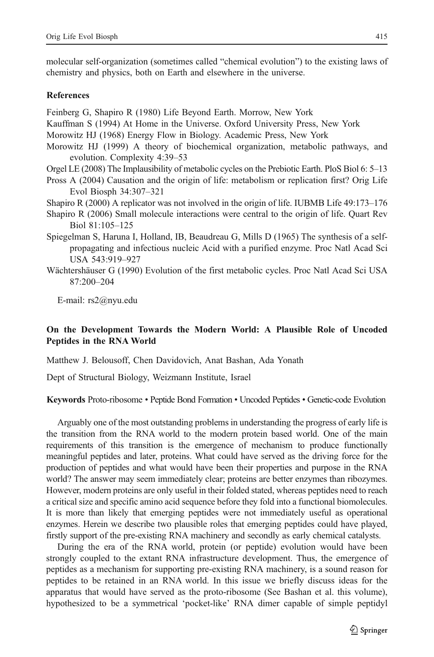molecular self-organization (sometimes called "chemical evolution") to the existing laws of chemistry and physics, both on Earth and elsewhere in the universe.

## References

Feinberg G, Shapiro R (1980) Life Beyond Earth. Morrow, New York

- Kauffman S (1994) At Home in the Universe. Oxford University Press, New York
- Morowitz HJ (1968) Energy Flow in Biology. Academic Press, New York
- Morowitz HJ (1999) A theory of biochemical organization, metabolic pathways, and evolution. Complexity 4:39–53
- Orgel LE (2008) The Implausibility of metabolic cycles on the Prebiotic Earth. PloS Biol 6: 5–13
- Pross A (2004) Causation and the origin of life: metabolism or replication first? Orig Life Evol Biosph 34:307–321
- Shapiro R (2000) A replicator was not involved in the origin of life. IUBMB Life 49:173–176
- Shapiro R (2006) Small molecule interactions were central to the origin of life. Quart Rev Biol 81:105–125
- Spiegelman S, Haruna I, Holland, IB, Beaudreau G, Mills D (1965) The synthesis of a selfpropagating and infectious nucleic Acid with a purified enzyme. Proc Natl Acad Sci USA 543:919–927
- Wächtershäuser G (1990) Evolution of the first metabolic cycles. Proc Natl Acad Sci USA 87:200–204

E-mail: rs2@nyu.edu

## On the Development Towards the Modern World: A Plausible Role of Uncoded Peptides in the RNA World

Matthew J. Belousoff, Chen Davidovich, Anat Bashan, Ada Yonath

Dept of Structural Biology, Weizmann Institute, Israel

Keywords Proto-ribosome • Peptide Bond Formation • Uncoded Peptides • Genetic-code Evolution

Arguably one of the most outstanding problems in understanding the progress of early life is the transition from the RNA world to the modern protein based world. One of the main requirements of this transition is the emergence of mechanism to produce functionally meaningful peptides and later, proteins. What could have served as the driving force for the production of peptides and what would have been their properties and purpose in the RNA world? The answer may seem immediately clear; proteins are better enzymes than ribozymes. However, modern proteins are only useful in their folded stated, whereas peptides need to reach a critical size and specific amino acid sequence before they fold into a functional biomolecules. It is more than likely that emerging peptides were not immediately useful as operational enzymes. Herein we describe two plausible roles that emerging peptides could have played, firstly support of the pre-existing RNA machinery and secondly as early chemical catalysts.

During the era of the RNA world, protein (or peptide) evolution would have been strongly coupled to the extant RNA infrastructure development. Thus, the emergence of peptides as a mechanism for supporting pre-existing RNA machinery, is a sound reason for peptides to be retained in an RNA world. In this issue we briefly discuss ideas for the apparatus that would have served as the proto-ribosome (See Bashan et al. this volume), hypothesized to be a symmetrical 'pocket-like' RNA dimer capable of simple peptidyl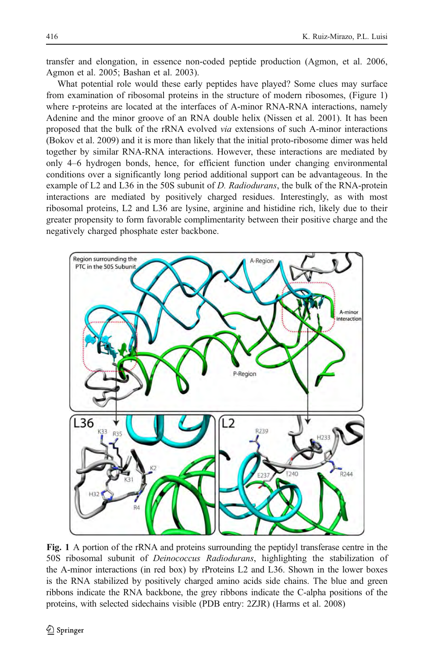transfer and elongation, in essence non-coded peptide production (Agmon, et al. 2006, Agmon et al. 2005; Bashan et al. 2003).

What potential role would these early peptides have played? Some clues may surface from examination of ribosomal proteins in the structure of modern ribosomes, (Figure 1) where r-proteins are located at the interfaces of A-minor RNA-RNA interactions, namely Adenine and the minor groove of an RNA double helix (Nissen et al. 2001). It has been proposed that the bulk of the rRNA evolved via extensions of such A-minor interactions (Bokov et al. 2009) and it is more than likely that the initial proto-ribosome dimer was held together by similar RNA-RNA interactions. However, these interactions are mediated by only 4–6 hydrogen bonds, hence, for efficient function under changing environmental conditions over a significantly long period additional support can be advantageous. In the example of L2 and L36 in the 50S subunit of D. Radiodurans, the bulk of the RNA-protein interactions are mediated by positively charged residues. Interestingly, as with most ribosomal proteins, L2 and L36 are lysine, arginine and histidine rich, likely due to their greater propensity to form favorable complimentarity between their positive charge and the negatively charged phosphate ester backbone.



Fig. 1 A portion of the rRNA and proteins surrounding the peptidyl transferase centre in the 50S ribosomal subunit of Deinococcus Radiodurans, highlighting the stabilization of the A-minor interactions (in red box) by rProteins L2 and L36. Shown in the lower boxes is the RNA stabilized by positively charged amino acids side chains. The blue and green ribbons indicate the RNA backbone, the grey ribbons indicate the C-alpha positions of the proteins, with selected sidechains visible (PDB entry: 2ZJR) (Harms et al. 2008)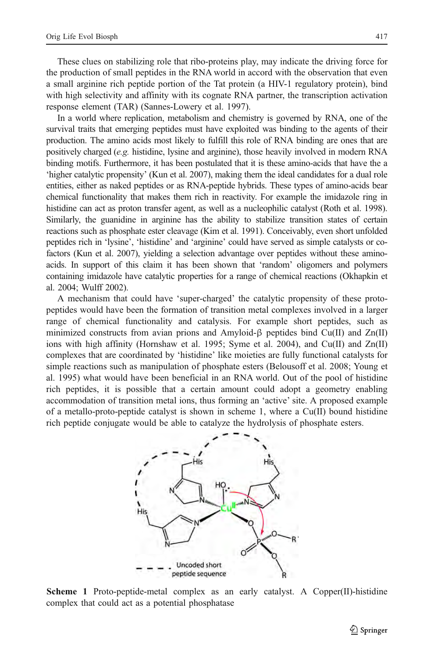These clues on stabilizing role that ribo-proteins play, may indicate the driving force for the production of small peptides in the RNA world in accord with the observation that even a small arginine rich peptide portion of the Tat protein (a HIV-1 regulatory protein), bind with high selectivity and affinity with its cognate RNA partner, the transcription activation response element (TAR) (Sannes-Lowery et al. 1997).

In a world where replication, metabolism and chemistry is governed by RNA, one of the survival traits that emerging peptides must have exploited was binding to the agents of their production. The amino acids most likely to fulfill this role of RNA binding are ones that are positively charged (e.g. histidine, lysine and arginine), those heavily involved in modern RNA binding motifs. Furthermore, it has been postulated that it is these amino-acids that have the a 'higher catalytic propensity' (Kun et al. 2007), making them the ideal candidates for a dual role entities, either as naked peptides or as RNA-peptide hybrids. These types of amino-acids bear chemical functionality that makes them rich in reactivity. For example the imidazole ring in histidine can act as proton transfer agent, as well as a nucleophilic catalyst (Roth et al. 1998). Similarly, the guanidine in arginine has the ability to stabilize transition states of certain reactions such as phosphate ester cleavage (Kim et al. 1991). Conceivably, even short unfolded peptides rich in 'lysine', 'histidine' and 'arginine' could have served as simple catalysts or cofactors (Kun et al. 2007), yielding a selection advantage over peptides without these aminoacids. In support of this claim it has been shown that 'random' oligomers and polymers containing imidazole have catalytic properties for a range of chemical reactions (Okhapkin et al. 2004; Wulff 2002).

A mechanism that could have 'super-charged' the catalytic propensity of these protopeptides would have been the formation of transition metal complexes involved in a larger range of chemical functionality and catalysis. For example short peptides, such as minimized constructs from avian prions and Amyloid-β peptides bind Cu(II) and Zn(II) ions with high affinity (Hornshaw et al. 1995; Syme et al. 2004), and Cu(II) and Zn(II) complexes that are coordinated by 'histidine' like moieties are fully functional catalysts for simple reactions such as manipulation of phosphate esters (Belousoff et al. 2008; Young et al. 1995) what would have been beneficial in an RNA world. Out of the pool of histidine rich peptides, it is possible that a certain amount could adopt a geometry enabling accommodation of transition metal ions, thus forming an 'active' site. A proposed example of a metallo-proto-peptide catalyst is shown in scheme 1, where a Cu(II) bound histidine rich peptide conjugate would be able to catalyze the hydrolysis of phosphate esters.



Scheme 1 Proto-peptide-metal complex as an early catalyst. A Copper(II)-histidine complex that could act as a potential phosphatase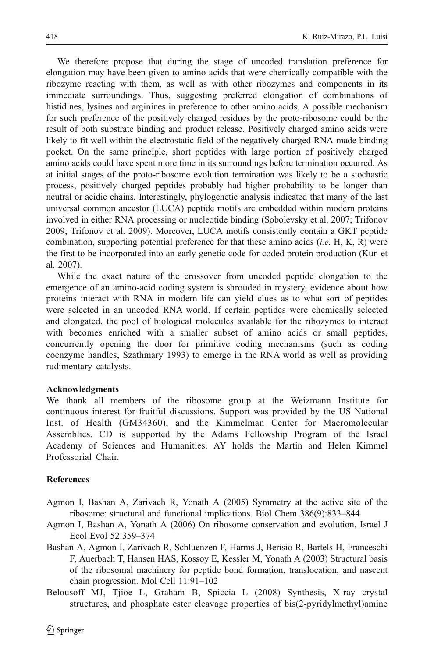We therefore propose that during the stage of uncoded translation preference for elongation may have been given to amino acids that were chemically compatible with the ribozyme reacting with them, as well as with other ribozymes and components in its immediate surroundings. Thus, suggesting preferred elongation of combinations of histidines, lysines and arginines in preference to other amino acids. A possible mechanism for such preference of the positively charged residues by the proto-ribosome could be the result of both substrate binding and product release. Positively charged amino acids were likely to fit well within the electrostatic field of the negatively charged RNA-made binding pocket. On the same principle, short peptides with large portion of positively charged amino acids could have spent more time in its surroundings before termination occurred. As at initial stages of the proto-ribosome evolution termination was likely to be a stochastic process, positively charged peptides probably had higher probability to be longer than neutral or acidic chains. Interestingly, phylogenetic analysis indicated that many of the last universal common ancestor (LUCA) peptide motifs are embedded within modern proteins involved in either RNA processing or nucleotide binding (Sobolevsky et al. 2007; Trifonov 2009; Trifonov et al. 2009). Moreover, LUCA motifs consistently contain a GKT peptide combination, supporting potential preference for that these amino acids  $(i.e. H, K, R)$  were the first to be incorporated into an early genetic code for coded protein production (Kun et al. 2007).

While the exact nature of the crossover from uncoded peptide elongation to the emergence of an amino-acid coding system is shrouded in mystery, evidence about how proteins interact with RNA in modern life can yield clues as to what sort of peptides were selected in an uncoded RNA world. If certain peptides were chemically selected and elongated, the pool of biological molecules available for the ribozymes to interact with becomes enriched with a smaller subset of amino acids or small peptides, concurrently opening the door for primitive coding mechanisms (such as coding coenzyme handles, Szathmary 1993) to emerge in the RNA world as well as providing rudimentary catalysts.

## Acknowledgments

We thank all members of the ribosome group at the Weizmann Institute for continuous interest for fruitful discussions. Support was provided by the US National Inst. of Health (GM34360), and the Kimmelman Center for Macromolecular Assemblies. CD is supported by the Adams Fellowship Program of the Israel Academy of Sciences and Humanities. AY holds the Martin and Helen Kimmel Professorial Chair.

## References

- Agmon I, Bashan A, Zarivach R, Yonath A (2005) Symmetry at the active site of the ribosome: structural and functional implications. Biol Chem 386(9):833–844
- Agmon I, Bashan A, Yonath A (2006) On ribosome conservation and evolution. Israel J Ecol Evol 52:359–374
- Bashan A, Agmon I, Zarivach R, Schluenzen F, Harms J, Berisio R, Bartels H, Franceschi F, Auerbach T, Hansen HAS, Kossoy E, Kessler M, Yonath A (2003) Structural basis of the ribosomal machinery for peptide bond formation, translocation, and nascent chain progression. Mol Cell 11:91–102
- Belousoff MJ, Tjioe L, Graham B, Spiccia L (2008) Synthesis, X-ray crystal structures, and phosphate ester cleavage properties of bis(2-pyridylmethyl)amine